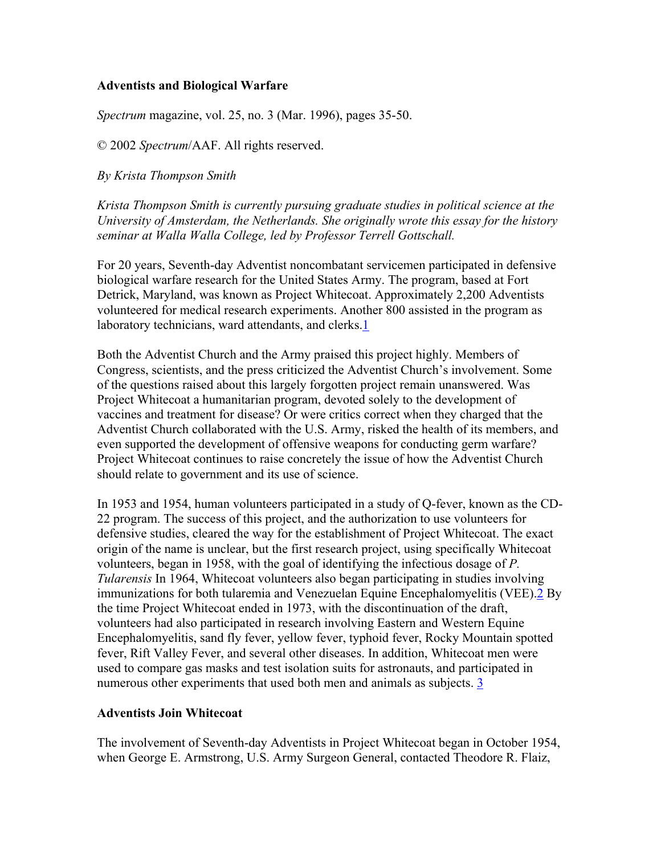### **Adventists and Biological Warfare**

*Spectrum* magazine, vol. 25, no. 3 (Mar. 1996), pages 35-50.

© 2002 *Spectrum*/AAF. All rights reserved.

*By Krista Thompson Smith*

*Krista Thompson Smith is currently pursuing graduate studies in political science at the University of Amsterdam, the Netherlands. She originally wrote this essay for the history seminar at Walla Walla College, led by Professor Terrell Gottschall.*

For 20 years, Seventh-day Adventist noncombatant servicemen participated in defensive biological warfare research for the United States Army. The program, based at Fort Detrick, Maryland, was known as Project Whitecoat. Approximately 2,200 Adventists volunteered for medical research experiments. Another 800 assisted in the program as laboratory technicians, ward attendants, and clerks.[1](http://www.spectrummagazine.org/library/archive21-25/) 

Both the Adventist Church and the Army praised this project highly. Members of Congress, scientists, and the press criticized the Adventist Church's involvement. Some of the questions raised about this largely forgotten project remain unanswered. Was Project Whitecoat a humanitarian program, devoted solely to the development of vaccines and treatment for disease? Or were critics correct when they charged that the Adventist Church collaborated with the U.S. Army, risked the health of its members, and even supported the development of offensive weapons for conducting germ warfare? Project Whitecoat continues to raise concretely the issue of how the Adventist Church should relate to government and its use of science.

In 1953 and 1954, human volunteers participated in a study of Q-fever, known as the CD-22 program. The success of this project, and the authorization to use volunteers for defensive studies, cleared the way for the establishment of Project Whitecoat. The exact origin of the name is unclear, but the first research project, using specifically Whitecoat volunteers, began in 1958, with the goal of identifying the infectious dosage of *P. Tularensis* In 1964, Whitecoat volunteers also began participating in studies involving immunizations for both tularemia and Venezuelan Equine Encephalomyelitis (VEE).[2](http://www.spectrummagazine.org/library/archive21-25/) By the time Project Whitecoat ended in 1973, with the discontinuation of the draft, volunteers had also participated in research involving Eastern and Western Equine Encephalomyelitis, sand fly fever, yellow fever, typhoid fever, Rocky Mountain spotted fever, Rift Valley Fever, and several other diseases. In addition, Whitecoat men were used to compare gas masks and test isolation suits for astronauts, and participated in numerous other experiments that used both men and animals as subjects. 3

# **Adventists Join Whitecoat**

The involvement of Seventh-day Adventists in Project Whitecoat began in October 1954, when George E. Armstrong, U.S. Army Surgeon General, contacted Theodore R. Flaiz,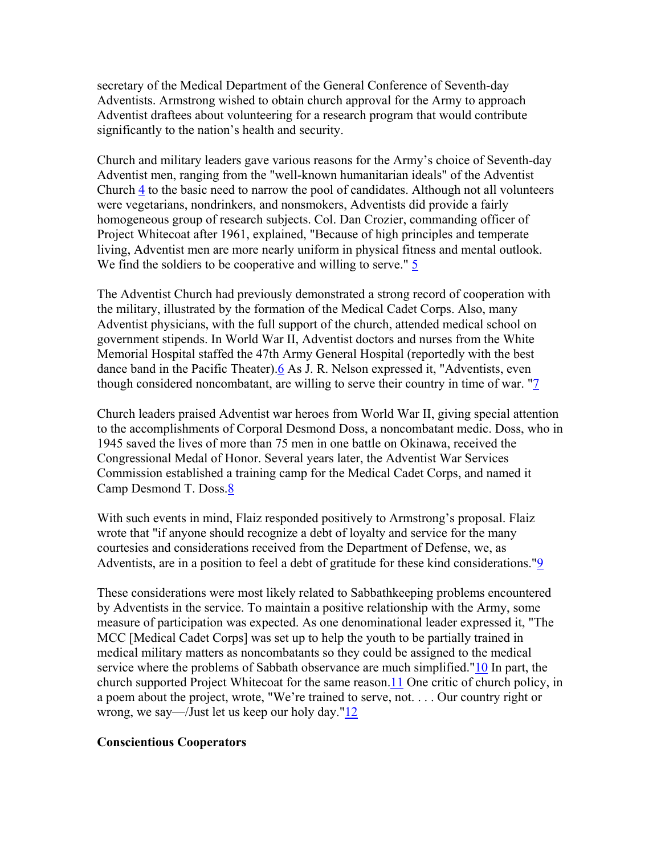secretary of the Medical Department of the General Conference of Seventh-day Adventists. Armstrong wished to obtain church approval for the Army to approach Adventist draftees about volunteering for a research program that would contribute significantly to the nation's health and security.

Church and military leaders gave various reasons for the Army's choice of Seventh-day Adventist men, ranging from the "well-known humanitarian ideals" of the Adventist Church [4](http://www.spectrummagazine.org/library/archive21-25/) to the basic need to narrow the pool of candidates. Although not all volunteers were vegetarians, nondrinkers, and nonsmokers, Adventists did provide a fairly homogeneous group of research subjects. Col. Dan Crozier, commanding officer of Project Whitecoat after 1961, explained, "Because of high principles and temperate living, Adventist men are more nearly uniform in physical fitness and mental outlook. We find the soldiers to be cooperative and willing to serve." [5](http://www.spectrummagazine.org/library/archive21-25/)

The Adventist Church had previously demonstrated a strong record of cooperation with the military, illustrated by the formation of the Medical Cadet Corps. Also, many Adventist physicians, with the full support of the church, attended medical school on government stipends. In World War II, Adventist doctors and nurses from the White Memorial Hospital staffed the 47th Army General Hospital (reportedly with the best dance band in the Pacific Theater)[.6](http://www.spectrummagazine.org/library/archive21-25/) As J. R. Nelson expressed it, "Adventists, even though considered noncombatant, are willing to serve their country in time of war. "[7](http://www.spectrummagazine.org/library/archive21-25/) 

Church leaders praised Adventist war heroes from World War II, giving special attention to the accomplishments of Corporal Desmond Doss, a noncombatant medic. Doss, who in 1945 saved the lives of more than 75 men in one battle on Okinawa, received the Congressional Medal of Honor. Several years later, the Adventist War Services Commission established a training camp for the Medical Cadet Corps, and named it Camp Desmond T. Doss.[8](http://www.spectrummagazine.org/library/archive21-25/) 

With such events in mind, Flaiz responded positively to Armstrong's proposal. Flaiz wrote that "if anyone should recognize a debt of loyalty and service for the many courtesies and considerations received from the Department of Defense, we, as Adventists, are in a position to feel a debt of gratitude for these kind considerations."[9](http://www.spectrummagazine.org/library/archive21-25/) 

These considerations were most likely related to Sabbathkeeping problems encountered by Adventists in the service. To maintain a positive relationship with the Army, some measure of participation was expected. As one denominational leader expressed it, "The MCC [Medical Cadet Corps] was set up to help the youth to be partially trained in medical military matters as noncombatants so they could be assigned to the medical service where the problems of Sabbath observance are much simplified.["10](http://www.spectrummagazine.org/library/archive21-25/) In part, the church supported Project Whitecoat for the same reason.[11](http://www.spectrummagazine.org/library/archive21-25/) One critic of church policy, in a poem about the project, wrote, "We're trained to serve, not. . . . Our country right or wrong, we say—/Just let us keep our holy day."[12](http://www.spectrummagazine.org/library/archive21-25/)

#### **Conscientious Cooperators**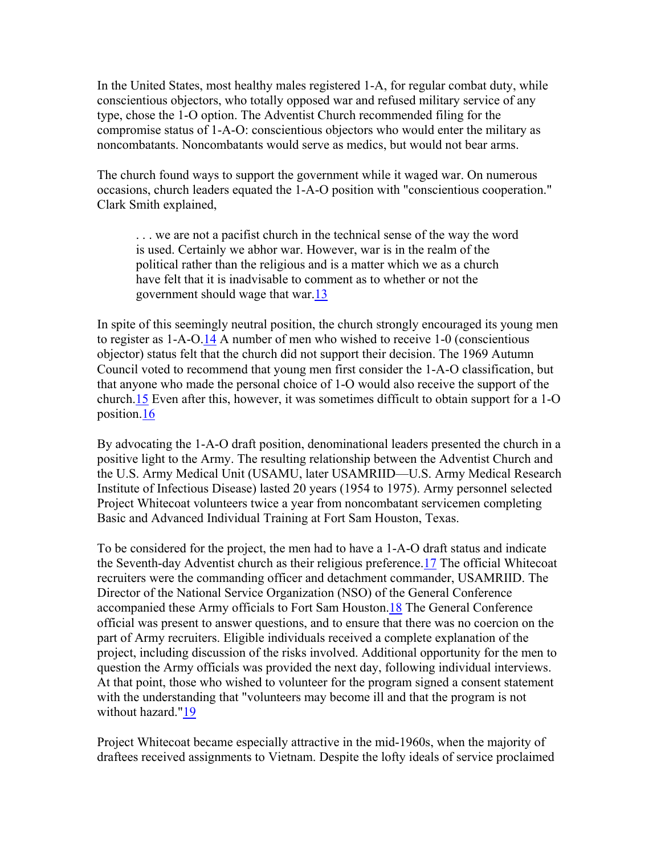In the United States, most healthy males registered 1-A, for regular combat duty, while conscientious objectors, who totally opposed war and refused military service of any type, chose the 1-O option. The Adventist Church recommended filing for the compromise status of 1-A-O: conscientious objectors who would enter the military as noncombatants. Noncombatants would serve as medics, but would not bear arms.

The church found ways to support the government while it waged war. On numerous occasions, church leaders equated the 1-A-O position with "conscientious cooperation." Clark Smith explained,

. . . we are not a pacifist church in the technical sense of the way the word is used. Certainly we abhor war. However, war is in the realm of the political rather than the religious and is a matter which we as a church have felt that it is inadvisable to comment as to whether or not the government should wage that war.[13](http://www.spectrummagazine.org/library/archive21-25/)

In spite of this seemingly neutral position, the church strongly encouraged its young men to register as 1-A-O.[14](http://www.spectrummagazine.org/library/archive21-25/) A number of men who wished to receive 1-0 (conscientious objector) status felt that the church did not support their decision. The 1969 Autumn Council voted to recommend that young men first consider the 1-A-O classification, but that anyone who made the personal choice of 1-O would also receive the support of the church.[15](http://www.spectrummagazine.org/library/archive21-25/) Even after this, however, it was sometimes difficult to obtain support for a 1-O position.[16](http://www.spectrummagazine.org/library/archive21-25/) 

By advocating the 1-A-O draft position, denominational leaders presented the church in a positive light to the Army. The resulting relationship between the Adventist Church and the U.S. Army Medical Unit (USAMU, later USAMRIID—U.S. Army Medical Research Institute of Infectious Disease) lasted 20 years (1954 to 1975). Army personnel selected Project Whitecoat volunteers twice a year from noncombatant servicemen completing Basic and Advanced Individual Training at Fort Sam Houston, Texas.

To be considered for the project, the men had to have a 1-A-O draft status and indicate the Seventh-day Adventist church as their religious preference.[17](http://www.spectrummagazine.org/library/archive21-25/) The official Whitecoat recruiters were the commanding officer and detachment commander, USAMRIID. The Director of the National Service Organization (NSO) of the General Conference accompanied these Army officials to Fort Sam Houston.[18](http://www.spectrummagazine.org/library/archive21-25/) The General Conference official was present to answer questions, and to ensure that there was no coercion on the part of Army recruiters. Eligible individuals received a complete explanation of the project, including discussion of the risks involved. Additional opportunity for the men to question the Army officials was provided the next day, following individual interviews. At that point, those who wished to volunteer for the program signed a consent statement with the understanding that "volunteers may become ill and that the program is not without hazard."<sup>19</sup>

Project Whitecoat became especially attractive in the mid-1960s, when the majority of draftees received assignments to Vietnam. Despite the lofty ideals of service proclaimed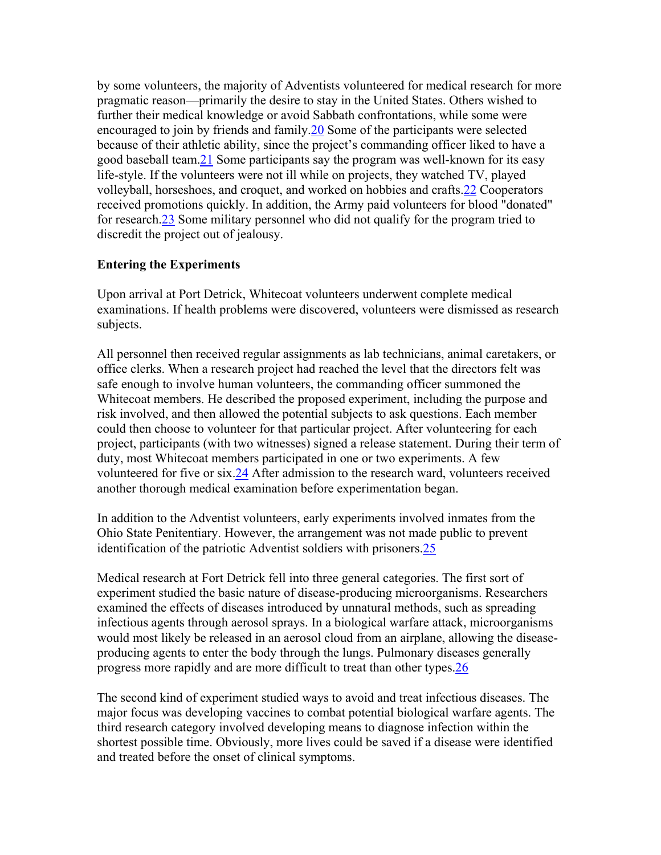by some volunteers, the majority of Adventists volunteered for medical research for more pragmatic reason—primarily the desire to stay in the United States. Others wished to further their medical knowledge or avoid Sabbath confrontations, while some were encouraged to join by friends and family[.20](http://www.spectrummagazine.org/library/archive21-25/) Some of the participants were selected because of their athletic ability, since the project's commanding officer liked to have a good baseball team.[21](http://www.spectrummagazine.org/library/archive21-25/) Some participants say the program was well-known for its easy life-style. If the volunteers were not ill while on projects, they watched TV, played volleyball, horseshoes, and croquet, and worked on hobbies and crafts.[22](http://www.spectrummagazine.org/library/archive21-25/) Cooperators received promotions quickly. In addition, the Army paid volunteers for blood "donated" for research[.23](http://www.spectrummagazine.org/library/archive21-25/) Some military personnel who did not qualify for the program tried to discredit the project out of jealousy.

### **Entering the Experiments**

Upon arrival at Port Detrick, Whitecoat volunteers underwent complete medical examinations. If health problems were discovered, volunteers were dismissed as research subjects.

All personnel then received regular assignments as lab technicians, animal caretakers, or office clerks. When a research project had reached the level that the directors felt was safe enough to involve human volunteers, the commanding officer summoned the Whitecoat members. He described the proposed experiment, including the purpose and risk involved, and then allowed the potential subjects to ask questions. Each member could then choose to volunteer for that particular project. After volunteering for each project, participants (with two witnesses) signed a release statement. During their term of duty, most Whitecoat members participated in one or two experiments. A few volunteered for five or six[.24](http://www.spectrummagazine.org/library/archive21-25/) After admission to the research ward, volunteers received another thorough medical examination before experimentation began.

In addition to the Adventist volunteers, early experiments involved inmates from the Ohio State Penitentiary. However, the arrangement was not made public to prevent identification of the patriotic Adventist soldiers with prisoners.[25](http://www.spectrummagazine.org/library/archive21-25/) 

Medical research at Fort Detrick fell into three general categories. The first sort of experiment studied the basic nature of disease-producing microorganisms. Researchers examined the effects of diseases introduced by unnatural methods, such as spreading infectious agents through aerosol sprays. In a biological warfare attack, microorganisms would most likely be released in an aerosol cloud from an airplane, allowing the diseaseproducing agents to enter the body through the lungs. Pulmonary diseases generally progress more rapidly and are more difficult to treat than other types[.26](http://www.spectrummagazine.org/library/archive21-25/) 

The second kind of experiment studied ways to avoid and treat infectious diseases. The major focus was developing vaccines to combat potential biological warfare agents. The third research category involved developing means to diagnose infection within the shortest possible time. Obviously, more lives could be saved if a disease were identified and treated before the onset of clinical symptoms.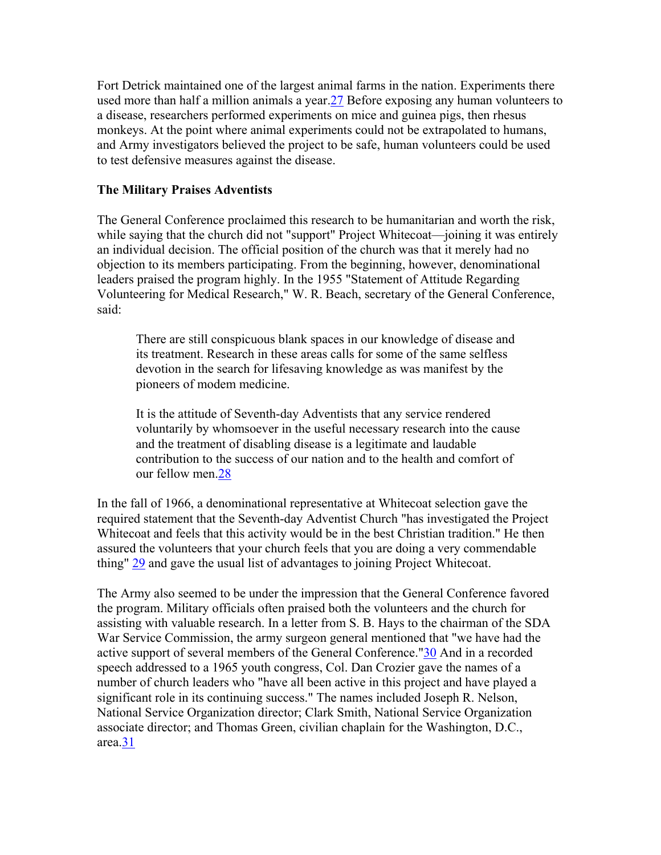Fort Detrick maintained one of the largest animal farms in the nation. Experiments there used more than half a million animals a year. 27 Before exposing any human volunteers to a disease, researchers performed experiments on mice and guinea pigs, then rhesus monkeys. At the point where animal experiments could not be extrapolated to humans, and Army investigators believed the project to be safe, human volunteers could be used to test defensive measures against the disease.

#### **The Military Praises Adventists**

The General Conference proclaimed this research to be humanitarian and worth the risk, while saying that the church did not "support" Project Whitecoat—joining it was entirely an individual decision. The official position of the church was that it merely had no objection to its members participating. From the beginning, however, denominational leaders praised the program highly. In the 1955 "Statement of Attitude Regarding Volunteering for Medical Research," W. R. Beach, secretary of the General Conference, said:

There are still conspicuous blank spaces in our knowledge of disease and its treatment. Research in these areas calls for some of the same selfless devotion in the search for lifesaving knowledge as was manifest by the pioneers of modem medicine.

It is the attitude of Seventh-day Adventists that any service rendered voluntarily by whomsoever in the useful necessary research into the cause and the treatment of disabling disease is a legitimate and laudable contribution to the success of our nation and to the health and comfort of our fellow men[.28](http://www.spectrummagazine.org/library/archive21-25/)

In the fall of 1966, a denominational representative at Whitecoat selection gave the required statement that the Seventh-day Adventist Church "has investigated the Project Whitecoat and feels that this activity would be in the best Christian tradition." He then assured the volunteers that your church feels that you are doing a very commendable thing" [29](http://www.spectrummagazine.org/library/archive21-25/) and gave the usual list of advantages to joining Project Whitecoat.

The Army also seemed to be under the impression that the General Conference favored the program. Military officials often praised both the volunteers and the church for assisting with valuable research. In a letter from S. B. Hays to the chairman of the SDA War Service Commission, the army surgeon general mentioned that "we have had the active support of several members of the General Conference.["30](http://www.spectrummagazine.org/library/archive21-25/) And in a recorded speech addressed to a 1965 youth congress, Col. Dan Crozier gave the names of a number of church leaders who "have all been active in this project and have played a significant role in its continuing success." The names included Joseph R. Nelson, National Service Organization director; Clark Smith, National Service Organization associate director; and Thomas Green, civilian chaplain for the Washington, D.C.,  $area.\overline{31}$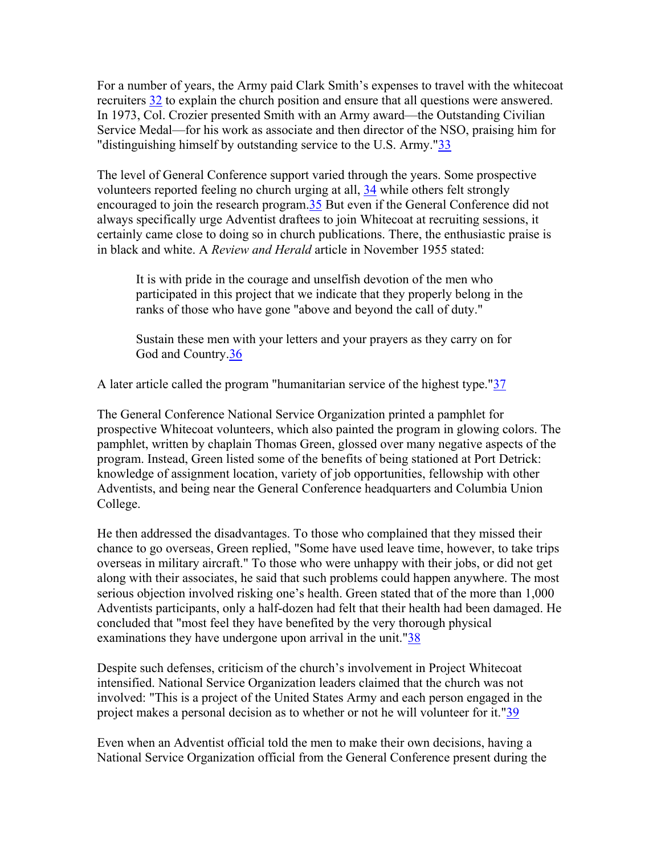For a number of years, the Army paid Clark Smith's expenses to travel with the whitecoat recruiters [32](http://www.spectrummagazine.org/library/archive21-25/) to explain the church position and ensure that all questions were answered. In 1973, Col. Crozier presented Smith with an Army award—the Outstanding Civilian Service Medal—for his work as associate and then director of the NSO, praising him for "distinguishing himself by outstanding service to the U.S. Army.["33](http://www.spectrummagazine.org/library/archive21-25/)

The level of General Conference support varied through the years. Some prospective volunteers reported feeling no church urging at all, [34](http://www.spectrummagazine.org/library/archive21-25/) while others felt strongly encouraged to join the research program[.35](http://www.spectrummagazine.org/library/archive21-25/) But even if the General Conference did not always specifically urge Adventist draftees to join Whitecoat at recruiting sessions, it certainly came close to doing so in church publications. There, the enthusiastic praise is in black and white. A *Review and Herald* article in November 1955 stated:

It is with pride in the courage and unselfish devotion of the men who participated in this project that we indicate that they properly belong in the ranks of those who have gone "above and beyond the call of duty."

Sustain these men with your letters and your prayers as they carry on for God and Country.<sup>36</sup>

A later article called the program "humanitarian service of the highest type."[37](http://www.spectrummagazine.org/library/archive21-25/)

The General Conference National Service Organization printed a pamphlet for prospective Whitecoat volunteers, which also painted the program in glowing colors. The pamphlet, written by chaplain Thomas Green, glossed over many negative aspects of the program. Instead, Green listed some of the benefits of being stationed at Port Detrick: knowledge of assignment location, variety of job opportunities, fellowship with other Adventists, and being near the General Conference headquarters and Columbia Union College.

He then addressed the disadvantages. To those who complained that they missed their chance to go overseas, Green replied, "Some have used leave time, however, to take trips overseas in military aircraft." To those who were unhappy with their jobs, or did not get along with their associates, he said that such problems could happen anywhere. The most serious objection involved risking one's health. Green stated that of the more than 1,000 Adventists participants, only a half-dozen had felt that their health had been damaged. He concluded that "most feel they have benefited by the very thorough physical examinations they have undergone upon arrival in the unit."38

Despite such defenses, criticism of the church's involvement in Project Whitecoat intensified. National Service Organization leaders claimed that the church was not involved: "This is a project of the United States Army and each person engaged in the project makes a personal decision as to whether or not he will volunteer for it.["39](http://www.spectrummagazine.org/library/archive21-25/)

Even when an Adventist official told the men to make their own decisions, having a National Service Organization official from the General Conference present during the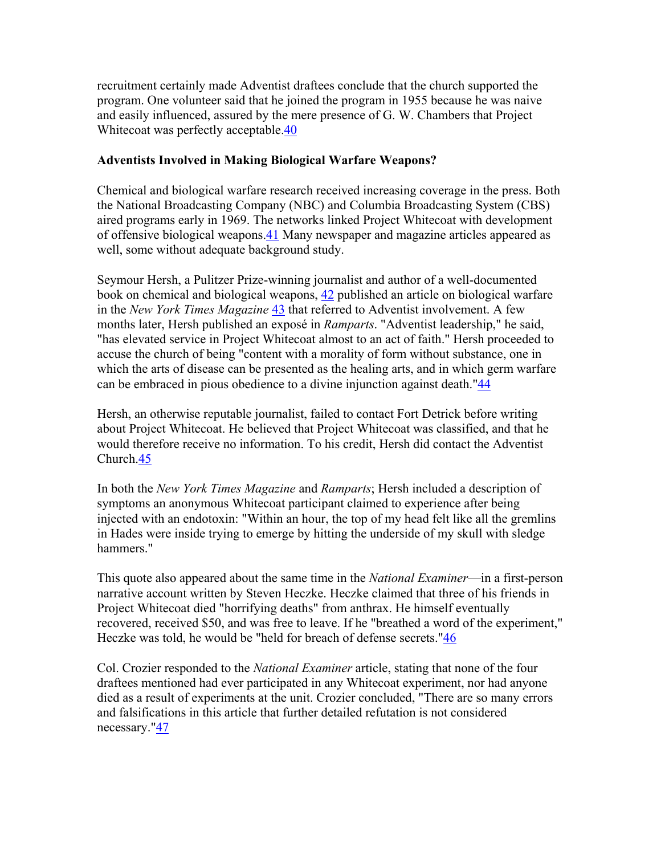recruitment certainly made Adventist draftees conclude that the church supported the program. One volunteer said that he joined the program in 1955 because he was naive and easily influenced, assured by the mere presence of G. W. Chambers that Project Whitecoat was perfectly acceptable.<sup>40</sup>

### **Adventists Involved in Making Biological Warfare Weapons?**

Chemical and biological warfare research received increasing coverage in the press. Both the National Broadcasting Company (NBC) and Columbia Broadcasting System (CBS) aired programs early in 1969. The networks linked Project Whitecoat with development of offensive biological weapons.[41](http://www.spectrummagazine.org/library/archive21-25/) Many newspaper and magazine articles appeared as well, some without adequate background study.

Seymour Hersh, a Pulitzer Prize-winning journalist and author of a well-documented book on chemical and biological weapons, [42](http://www.spectrummagazine.org/library/archive21-25/) published an article on biological warfare in the *New York Times Magazine* [43](http://www.spectrummagazine.org/library/archive21-25/) that referred to Adventist involvement. A few months later, Hersh published an exposé in *Ramparts*. "Adventist leadership," he said, "has elevated service in Project Whitecoat almost to an act of faith." Hersh proceeded to accuse the church of being "content with a morality of form without substance, one in which the arts of disease can be presented as the healing arts, and in which germ warfare can be embraced in pious obedience to a divine injunction against death."[44](http://www.spectrummagazine.org/library/archive21-25/) 

Hersh, an otherwise reputable journalist, failed to contact Fort Detrick before writing about Project Whitecoat. He believed that Project Whitecoat was classified, and that he would therefore receive no information. To his credit, Hersh did contact the Adventist Church[.45](http://www.spectrummagazine.org/library/archive21-25/)

In both the *New York Times Magazine* and *Ramparts*; Hersh included a description of symptoms an anonymous Whitecoat participant claimed to experience after being injected with an endotoxin: "Within an hour, the top of my head felt like all the gremlins in Hades were inside trying to emerge by hitting the underside of my skull with sledge hammers."

This quote also appeared about the same time in the *National Examiner*—in a first-person narrative account written by Steven Heczke. Heczke claimed that three of his friends in Project Whitecoat died "horrifying deaths" from anthrax. He himself eventually recovered, received \$50, and was free to leave. If he "breathed a word of the experiment," Heczke was told, he would be "held for breach of defense secrets."[46](http://www.spectrummagazine.org/library/archive21-25/) 

Col. Crozier responded to the *National Examiner* article, stating that none of the four draftees mentioned had ever participated in any Whitecoat experiment, nor had anyone died as a result of experiments at the unit. Crozier concluded, "There are so many errors and falsifications in this article that further detailed refutation is not considered necessary."[47](http://www.spectrummagazine.org/library/archive21-25/)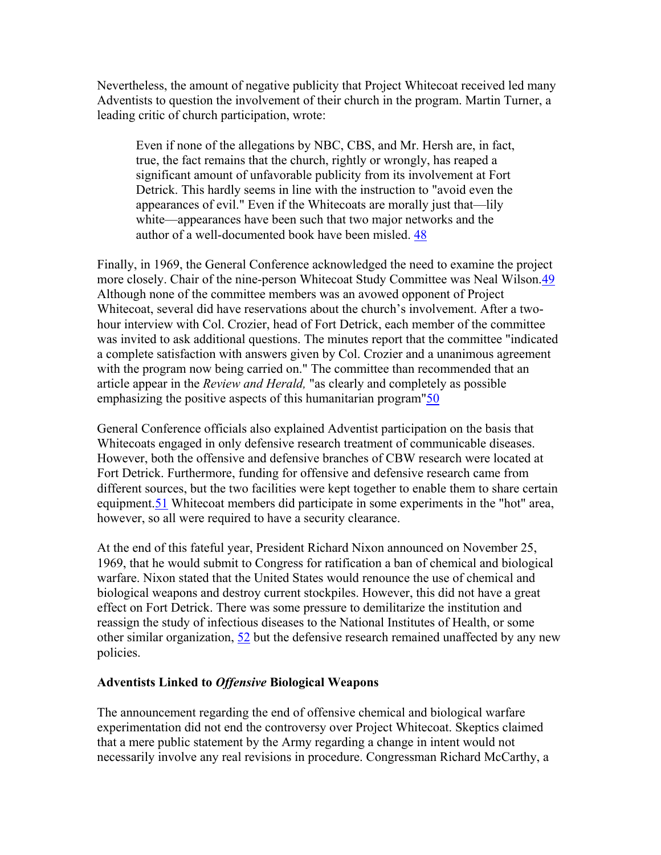Nevertheless, the amount of negative publicity that Project Whitecoat received led many Adventists to question the involvement of their church in the program. Martin Turner, a leading critic of church participation, wrote:

Even if none of the allegations by NBC, CBS, and Mr. Hersh are, in fact, true, the fact remains that the church, rightly or wrongly, has reaped a significant amount of unfavorable publicity from its involvement at Fort Detrick. This hardly seems in line with the instruction to "avoid even the appearances of evil." Even if the Whitecoats are morally just that—lily white—appearances have been such that two major networks and the author of a well-documented book have been misled. [48](http://www.spectrummagazine.org/library/archive21-25/)

Finally, in 1969, the General Conference acknowledged the need to examine the project more closely. Chair of the nine-person Whitecoat Study Committee was Neal Wilson[.49](http://www.spectrummagazine.org/library/archive21-25/) Although none of the committee members was an avowed opponent of Project Whitecoat, several did have reservations about the church's involvement. After a twohour interview with Col. Crozier, head of Fort Detrick, each member of the committee was invited to ask additional questions. The minutes report that the committee "indicated a complete satisfaction with answers given by Col. Crozier and a unanimous agreement with the program now being carried on." The committee than recommended that an article appear in the *Review and Herald,* "as clearly and completely as possible emphasizing the positive aspects of this humanitarian program["50](http://www.spectrummagazine.org/library/archive21-25/)

General Conference officials also explained Adventist participation on the basis that Whitecoats engaged in only defensive research treatment of communicable diseases. However, both the offensive and defensive branches of CBW research were located at Fort Detrick. Furthermore, funding for offensive and defensive research came from different sources, but the two facilities were kept together to enable them to share certain equipment.[51](http://www.spectrummagazine.org/library/archive21-25/) Whitecoat members did participate in some experiments in the "hot" area, however, so all were required to have a security clearance.

At the end of this fateful year, President Richard Nixon announced on November 25, 1969, that he would submit to Congress for ratification a ban of chemical and biological warfare. Nixon stated that the United States would renounce the use of chemical and biological weapons and destroy current stockpiles. However, this did not have a great effect on Fort Detrick. There was some pressure to demilitarize the institution and reassign the study of infectious diseases to the National Institutes of Health, or some other similar organization, [52](http://www.spectrummagazine.org/library/archive21-25/) but the defensive research remained unaffected by any new policies.

#### **Adventists Linked to** *Offensive* **Biological Weapons**

The announcement regarding the end of offensive chemical and biological warfare experimentation did not end the controversy over Project Whitecoat. Skeptics claimed that a mere public statement by the Army regarding a change in intent would not necessarily involve any real revisions in procedure. Congressman Richard McCarthy, a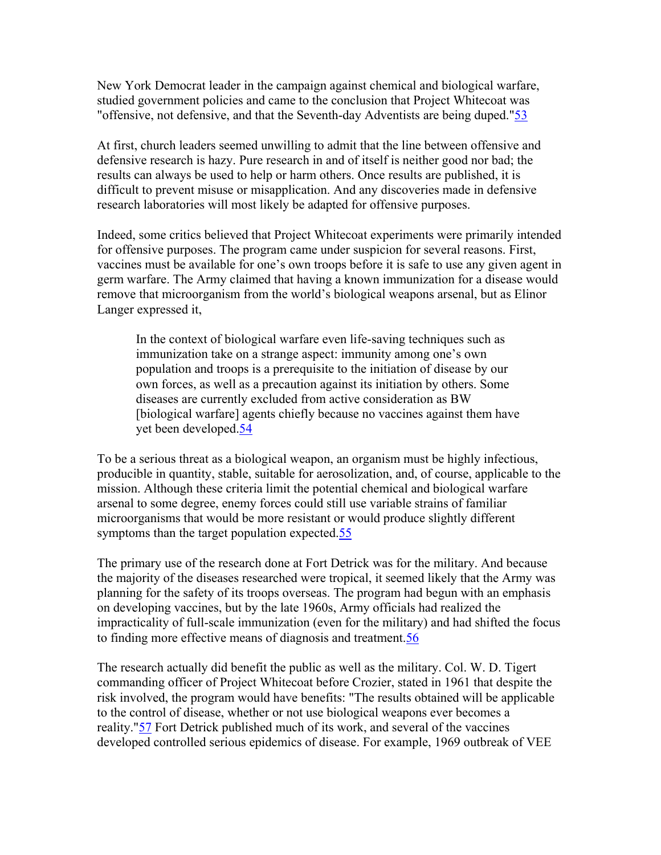New York Democrat leader in the campaign against chemical and biological warfare, studied government policies and came to the conclusion that Project Whitecoat was "offensive, not defensive, and that the Seventh-day Adventists are being duped."[53](http://www.spectrummagazine.org/library/archive21-25/) 

At first, church leaders seemed unwilling to admit that the line between offensive and defensive research is hazy. Pure research in and of itself is neither good nor bad; the results can always be used to help or harm others. Once results are published, it is difficult to prevent misuse or misapplication. And any discoveries made in defensive research laboratories will most likely be adapted for offensive purposes.

Indeed, some critics believed that Project Whitecoat experiments were primarily intended for offensive purposes. The program came under suspicion for several reasons. First, vaccines must be available for one's own troops before it is safe to use any given agent in germ warfare. The Army claimed that having a known immunization for a disease would remove that microorganism from the world's biological weapons arsenal, but as Elinor Langer expressed it,

In the context of biological warfare even life-saving techniques such as immunization take on a strange aspect: immunity among one's own population and troops is a prerequisite to the initiation of disease by our own forces, as well as a precaution against its initiation by others. Some diseases are currently excluded from active consideration as BW [biological warfare] agents chiefly because no vaccines against them have yet been developed.[54](http://www.spectrummagazine.org/library/archive21-25/)

To be a serious threat as a biological weapon, an organism must be highly infectious, producible in quantity, stable, suitable for aerosolization, and, of course, applicable to the mission. Although these criteria limit the potential chemical and biological warfare arsenal to some degree, enemy forces could still use variable strains of familiar microorganisms that would be more resistant or would produce slightly different symptoms than the target population expected[.55](http://www.spectrummagazine.org/library/archive21-25/) 

The primary use of the research done at Fort Detrick was for the military. And because the majority of the diseases researched were tropical, it seemed likely that the Army was planning for the safety of its troops overseas. The program had begun with an emphasis on developing vaccines, but by the late 1960s, Army officials had realized the impracticality of full-scale immunization (even for the military) and had shifted the focus to finding more effective means of diagnosis and treatment[.56](http://www.spectrummagazine.org/library/archive21-25/)

The research actually did benefit the public as well as the military. Col. W. D. Tigert commanding officer of Project Whitecoat before Crozier, stated in 1961 that despite the risk involved, the program would have benefits: "The results obtained will be applicable to the control of disease, whether or not use biological weapons ever becomes a reality."[57](http://www.spectrummagazine.org/library/archive21-25/) Fort Detrick published much of its work, and several of the vaccines developed controlled serious epidemics of disease. For example, 1969 outbreak of VEE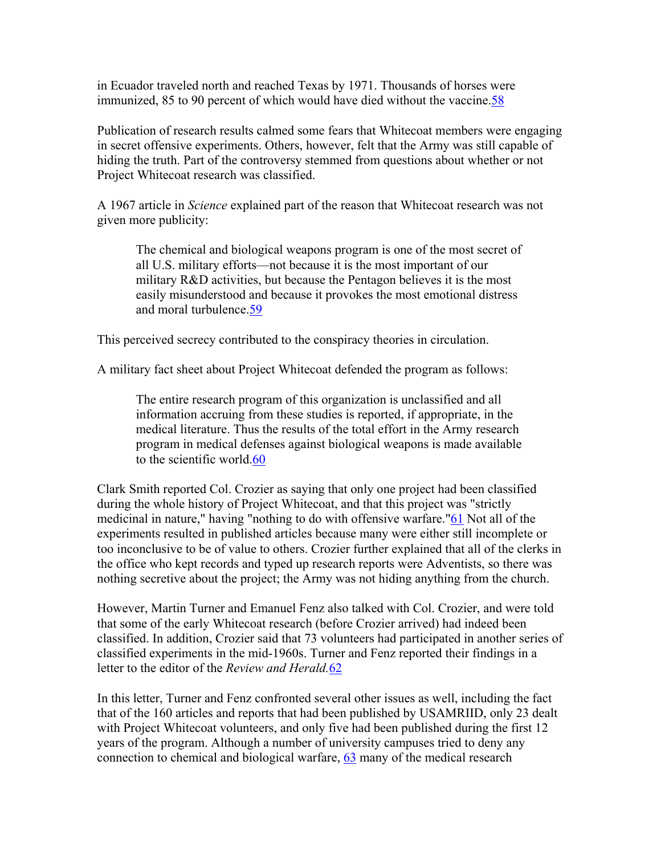in Ecuador traveled north and reached Texas by 1971. Thousands of horses were immunized, 85 to 90 percent of which would have died without the vaccine[.58](http://www.spectrummagazine.org/library/archive21-25/)

Publication of research results calmed some fears that Whitecoat members were engaging in secret offensive experiments. Others, however, felt that the Army was still capable of hiding the truth. Part of the controversy stemmed from questions about whether or not Project Whitecoat research was classified.

A 1967 article in *Science* explained part of the reason that Whitecoat research was not given more publicity:

The chemical and biological weapons program is one of the most secret of all U.S. military efforts—not because it is the most important of our military R&D activities, but because the Pentagon believes it is the most easily misunderstood and because it provokes the most emotional distress and moral turbulence[.59](http://www.spectrummagazine.org/library/archive21-25/)

This perceived secrecy contributed to the conspiracy theories in circulation.

A military fact sheet about Project Whitecoat defended the program as follows:

The entire research program of this organization is unclassified and all information accruing from these studies is reported, if appropriate, in the medical literature. Thus the results of the total effort in the Army research program in medical defenses against biological weapons is made available to the scientific world.[60](http://www.spectrummagazine.org/library/archive21-25/)

Clark Smith reported Col. Crozier as saying that only one project had been classified during the whole history of Project Whitecoat, and that this project was "strictly medicinal in nature," having "nothing to do with offensive warfare."[61](http://www.spectrummagazine.org/library/archive21-25/) Not all of the experiments resulted in published articles because many were either still incomplete or too inconclusive to be of value to others. Crozier further explained that all of the clerks in the office who kept records and typed up research reports were Adventists, so there was nothing secretive about the project; the Army was not hiding anything from the church.

However, Martin Turner and Emanuel Fenz also talked with Col. Crozier, and were told that some of the early Whitecoat research (before Crozier arrived) had indeed been classified. In addition, Crozier said that 73 volunteers had participated in another series of classified experiments in the mid-1960s. Turner and Fenz reported their findings in a letter to the editor of the *Review and Herald.*[62](http://www.spectrummagazine.org/library/archive21-25/) 

In this letter, Turner and Fenz confronted several other issues as well, including the fact that of the 160 articles and reports that had been published by USAMRIID, only 23 dealt with Project Whitecoat volunteers, and only five had been published during the first 12 years of the program. Although a number of university campuses tried to deny any connection to chemical and biological warfare, [63](http://www.spectrummagazine.org/library/archive21-25/) many of the medical research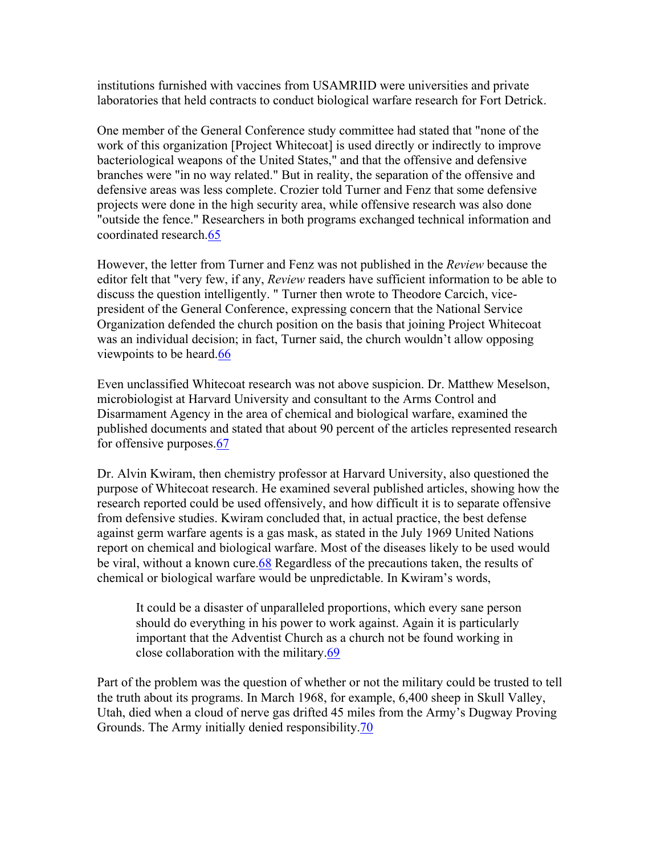institutions furnished with vaccines from USAMRIID were universities and private laboratories that held contracts to conduct biological warfare research for Fort Detrick.

One member of the General Conference study committee had stated that "none of the work of this organization [Project Whitecoat] is used directly or indirectly to improve bacteriological weapons of the United States," and that the offensive and defensive branches were "in no way related." But in reality, the separation of the offensive and defensive areas was less complete. Crozier told Turner and Fenz that some defensive projects were done in the high security area, while offensive research was also done "outside the fence." Researchers in both programs exchanged technical information and coordinated research.[65](http://www.spectrummagazine.org/library/archive21-25/) 

However, the letter from Turner and Fenz was not published in the *Review* because the editor felt that "very few, if any, *Review* readers have sufficient information to be able to discuss the question intelligently. " Turner then wrote to Theodore Carcich, vicepresident of the General Conference, expressing concern that the National Service Organization defended the church position on the basis that joining Project Whitecoat was an individual decision; in fact, Turner said, the church wouldn't allow opposing viewpoints to be heard[.66](http://www.spectrummagazine.org/library/archive21-25/) 

Even unclassified Whitecoat research was not above suspicion. Dr. Matthew Meselson, microbiologist at Harvard University and consultant to the Arms Control and Disarmament Agency in the area of chemical and biological warfare, examined the published documents and stated that about 90 percent of the articles represented research for offensive purposes[.67](http://www.spectrummagazine.org/library/archive21-25/)

Dr. Alvin Kwiram, then chemistry professor at Harvard University, also questioned the purpose of Whitecoat research. He examined several published articles, showing how the research reported could be used offensively, and how difficult it is to separate offensive from defensive studies. Kwiram concluded that, in actual practice, the best defense against germ warfare agents is a gas mask, as stated in the July 1969 United Nations report on chemical and biological warfare. Most of the diseases likely to be used would be viral, without a known cure.[68](http://www.spectrummagazine.org/library/archive21-25/) Regardless of the precautions taken, the results of chemical or biological warfare would be unpredictable. In Kwiram's words,

It could be a disaster of unparalleled proportions, which every sane person should do everything in his power to work against. Again it is particularly important that the Adventist Church as a church not be found working in close collaboration with the military[.69](http://www.spectrummagazine.org/library/archive21-25/)

Part of the problem was the question of whether or not the military could be trusted to tell the truth about its programs. In March 1968, for example, 6,400 sheep in Skull Valley, Utah, died when a cloud of nerve gas drifted 45 miles from the Army's Dugway Proving Grounds. The Army initially denied responsibility.[70](http://www.spectrummagazine.org/library/archive21-25/)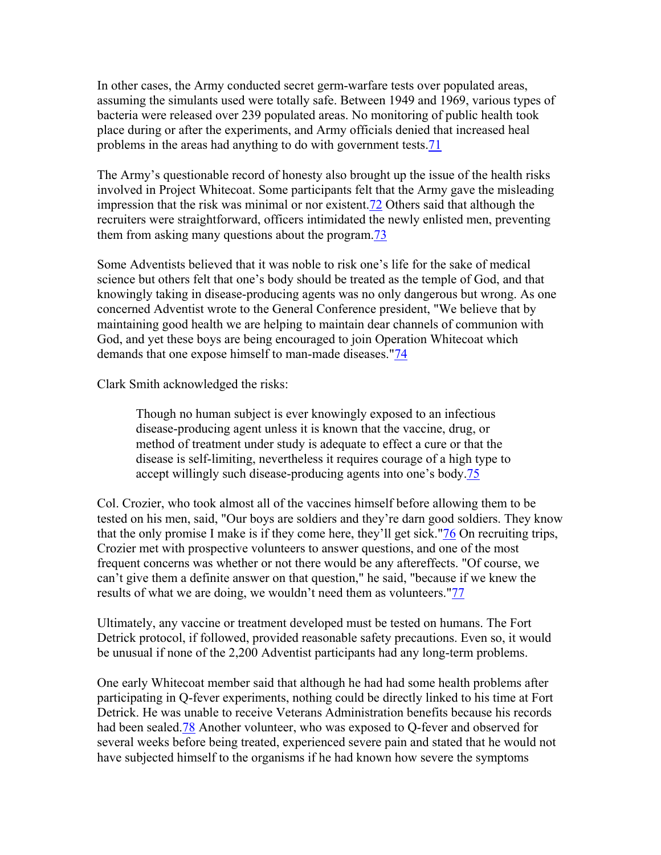In other cases, the Army conducted secret germ-warfare tests over populated areas, assuming the simulants used were totally safe. Between 1949 and 1969, various types of bacteria were released over 239 populated areas. No monitoring of public health took place during or after the experiments, and Army officials denied that increased heal problems in the areas had anything to do with government tests[.71](http://www.spectrummagazine.org/library/archive21-25/)

The Army's questionable record of honesty also brought up the issue of the health risks involved in Project Whitecoat. Some participants felt that the Army gave the misleading impression that the risk was minimal or nor existent[.72](http://www.spectrummagazine.org/library/archive21-25/) Others said that although the recruiters were straightforward, officers intimidated the newly enlisted men, preventing them from asking many questions about the program.[73](http://www.spectrummagazine.org/library/archive21-25/) 

Some Adventists believed that it was noble to risk one's life for the sake of medical science but others felt that one's body should be treated as the temple of God, and that knowingly taking in disease-producing agents was no only dangerous but wrong. As one concerned Adventist wrote to the General Conference president, "We believe that by maintaining good health we are helping to maintain dear channels of communion with God, and yet these boys are being encouraged to join Operation Whitecoat which demands that one expose himself to man-made diseases."[74](http://www.spectrummagazine.org/library/archive21-25/) 

Clark Smith acknowledged the risks:

Though no human subject is ever knowingly exposed to an infectious disease-producing agent unless it is known that the vaccine, drug, or method of treatment under study is adequate to effect a cure or that the disease is self-limiting, nevertheless it requires courage of a high type to accept willingly such disease-producing agents into one's body.[75](http://www.spectrummagazine.org/library/archive21-25/)

Col. Crozier, who took almost all of the vaccines himself before allowing them to be tested on his men, said, "Our boys are soldiers and they're darn good soldiers. They know that the only promise I make is if they come here, they'll get sick.["76](http://www.spectrummagazine.org/library/archive21-25/) On recruiting trips, Crozier met with prospective volunteers to answer questions, and one of the most frequent concerns was whether or not there would be any aftereffects. "Of course, we can't give them a definite answer on that question," he said, "because if we knew the results of what we are doing, we wouldn't need them as volunteers.["77](http://www.spectrummagazine.org/library/archive21-25/)

Ultimately, any vaccine or treatment developed must be tested on humans. The Fort Detrick protocol, if followed, provided reasonable safety precautions. Even so, it would be unusual if none of the 2,200 Adventist participants had any long-term problems.

One early Whitecoat member said that although he had had some health problems after participating in Q-fever experiments, nothing could be directly linked to his time at Fort Detrick. He was unable to receive Veterans Administration benefits because his records had been sealed[.78](http://www.spectrummagazine.org/library/archive21-25/) Another volunteer, who was exposed to Q-fever and observed for several weeks before being treated, experienced severe pain and stated that he would not have subjected himself to the organisms if he had known how severe the symptoms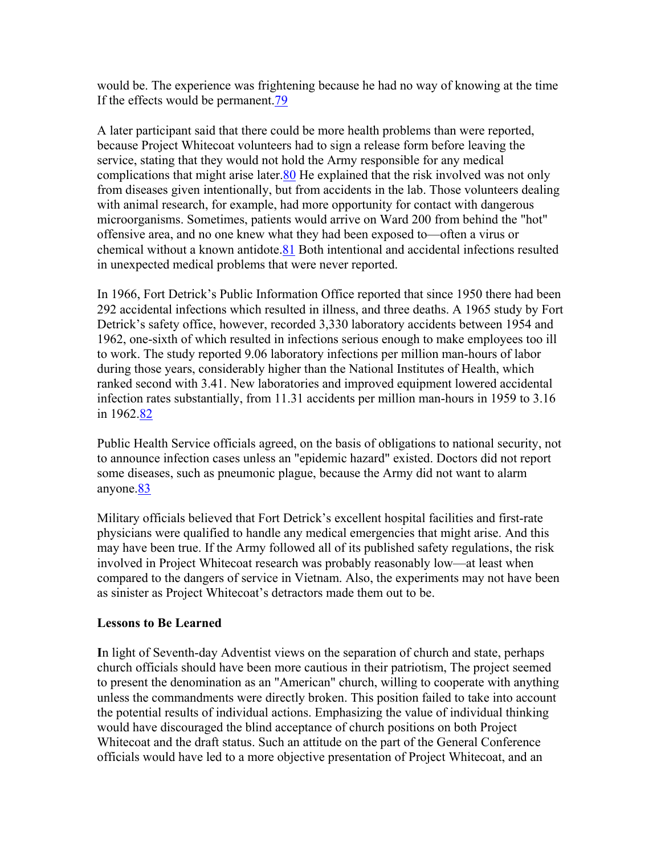would be. The experience was frightening because he had no way of knowing at the time If the effects would be permanent.[79](http://www.spectrummagazine.org/library/archive21-25/) 

A later participant said that there could be more health problems than were reported, because Project Whitecoat volunteers had to sign a release form before leaving the service, stating that they would not hold the Army responsible for any medical complications that might arise later[.80](http://www.spectrummagazine.org/library/archive21-25/) He explained that the risk involved was not only from diseases given intentionally, but from accidents in the lab. Those volunteers dealing with animal research, for example, had more opportunity for contact with dangerous microorganisms. Sometimes, patients would arrive on Ward 200 from behind the "hot" offensive area, and no one knew what they had been exposed to—often a virus or chemical without a known antidote.[81](http://www.spectrummagazine.org/library/archive21-25/) Both intentional and accidental infections resulted in unexpected medical problems that were never reported.

In 1966, Fort Detrick's Public Information Office reported that since 1950 there had been 292 accidental infections which resulted in illness, and three deaths. A 1965 study by Fort Detrick's safety office, however, recorded 3,330 laboratory accidents between 1954 and 1962, one-sixth of which resulted in infections serious enough to make employees too ill to work. The study reported 9.06 laboratory infections per million man-hours of labor during those years, considerably higher than the National Institutes of Health, which ranked second with 3.41. New laboratories and improved equipment lowered accidental infection rates substantially, from 11.31 accidents per million man-hours in 1959 to 3.16 in 1962[.82](http://www.spectrummagazine.org/library/archive21-25/)

Public Health Service officials agreed, on the basis of obligations to national security, not to announce infection cases unless an "epidemic hazard" existed. Doctors did not report some diseases, such as pneumonic plague, because the Army did not want to alarm anyone.[83](http://www.spectrummagazine.org/library/archive21-25/) 

Military officials believed that Fort Detrick's excellent hospital facilities and first-rate physicians were qualified to handle any medical emergencies that might arise. And this may have been true. If the Army followed all of its published safety regulations, the risk involved in Project Whitecoat research was probably reasonably low—at least when compared to the dangers of service in Vietnam. Also, the experiments may not have been as sinister as Project Whitecoat's detractors made them out to be.

# **Lessons to Be Learned**

**I**n light of Seventh-day Adventist views on the separation of church and state, perhaps church officials should have been more cautious in their patriotism, The project seemed to present the denomination as an "American" church, willing to cooperate with anything unless the commandments were directly broken. This position failed to take into account the potential results of individual actions. Emphasizing the value of individual thinking would have discouraged the blind acceptance of church positions on both Project Whitecoat and the draft status. Such an attitude on the part of the General Conference officials would have led to a more objective presentation of Project Whitecoat, and an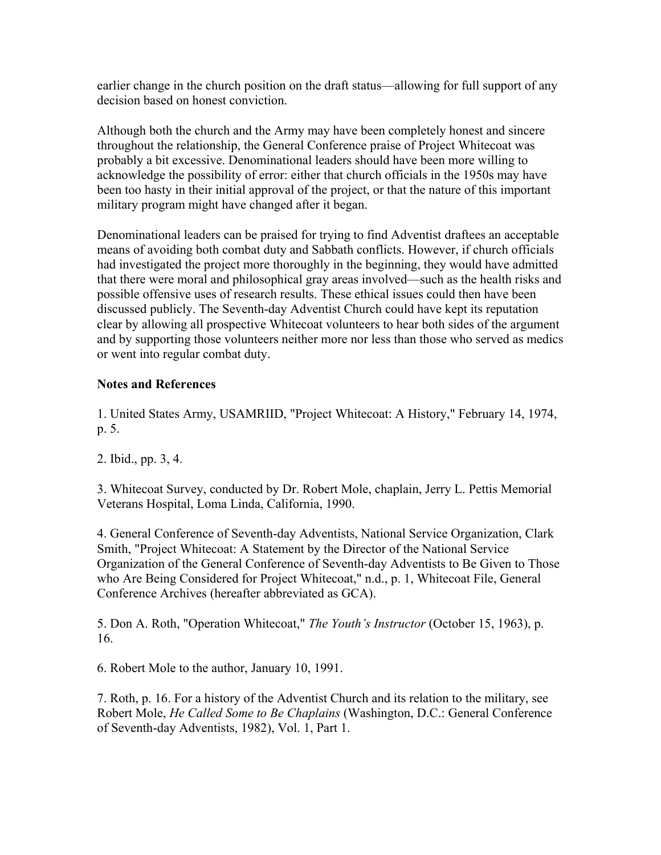earlier change in the church position on the draft status—allowing for full support of any decision based on honest conviction.

Although both the church and the Army may have been completely honest and sincere throughout the relationship, the General Conference praise of Project Whitecoat was probably a bit excessive. Denominational leaders should have been more willing to acknowledge the possibility of error: either that church officials in the 1950s may have been too hasty in their initial approval of the project, or that the nature of this important military program might have changed after it began.

Denominational leaders can be praised for trying to find Adventist draftees an acceptable means of avoiding both combat duty and Sabbath conflicts. However, if church officials had investigated the project more thoroughly in the beginning, they would have admitted that there were moral and philosophical gray areas involved—such as the health risks and possible offensive uses of research results. These ethical issues could then have been discussed publicly. The Seventh-day Adventist Church could have kept its reputation clear by allowing all prospective Whitecoat volunteers to hear both sides of the argument and by supporting those volunteers neither more nor less than those who served as medics or went into regular combat duty.

# **Notes and References**

1. United States Army, USAMRIID, "Project Whitecoat: A History," February 14, 1974, p. 5.

2. Ibid., pp. 3, 4.

3. Whitecoat Survey, conducted by Dr. Robert Mole, chaplain, Jerry L. Pettis Memorial Veterans Hospital, Loma Linda, California, 1990.

4. General Conference of Seventh-day Adventists, National Service Organization, Clark Smith, "Project Whitecoat: A Statement by the Director of the National Service Organization of the General Conference of Seventh-day Adventists to Be Given to Those who Are Being Considered for Project Whitecoat," n.d., p. 1, Whitecoat File, General Conference Archives (hereafter abbreviated as GCA).

5. Don A. Roth, "Operation Whitecoat," *The Youth's Instructor* (October 15, 1963), p. 16.

6. Robert Mole to the author, January 10, 1991.

7. Roth, p. 16. For a history of the Adventist Church and its relation to the military, see Robert Mole, *He Called Some to Be Chaplains* (Washington, D.C.: General Conference of Seventh-day Adventists, 1982), Vol. 1, Part 1.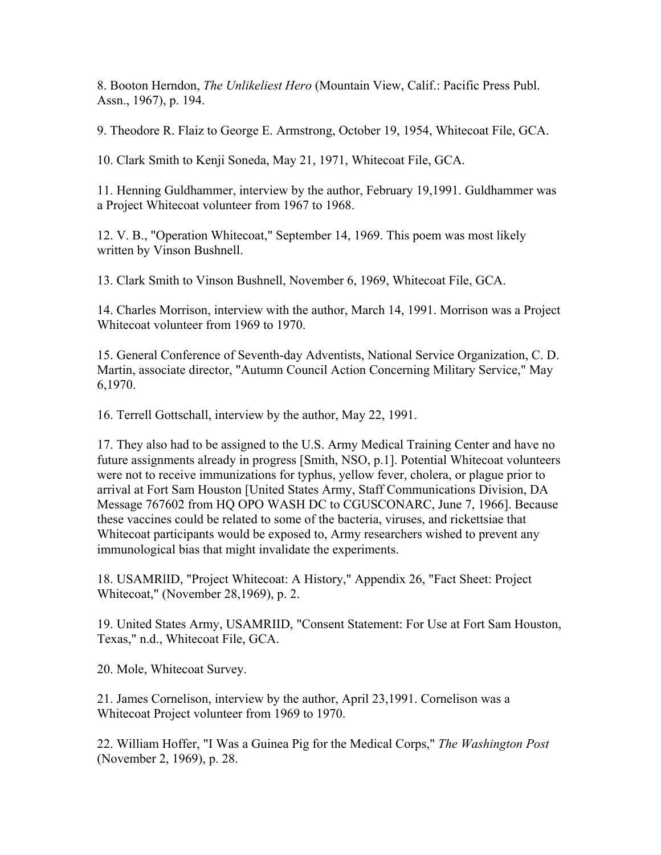8. Booton Herndon, *The Unlikeliest Hero* (Mountain View, Calif.: Pacific Press Publ. Assn., 1967), p. 194.

9. Theodore R. Flaiz to George E. Armstrong, October 19, 1954, Whitecoat File, GCA.

10. Clark Smith to Kenji Soneda, May 21, 1971, Whitecoat File, GCA.

11. Henning Guldhammer, interview by the author, February 19,1991. Guldhammer was a Project Whitecoat volunteer from 1967 to 1968.

12. V. B., "Operation Whitecoat," September 14, 1969. This poem was most likely written by Vinson Bushnell.

13. Clark Smith to Vinson Bushnell, November 6, 1969, Whitecoat File, GCA.

14. Charles Morrison, interview with the author, March 14, 1991. Morrison was a Project Whitecoat volunteer from 1969 to 1970.

15. General Conference of Seventh-day Adventists, National Service Organization, C. D. Martin, associate director, "Autumn Council Action Concerning Military Service," May 6,1970.

16. Terrell Gottschall, interview by the author, May 22, 1991.

17. They also had to be assigned to the U.S. Army Medical Training Center and have no future assignments already in progress [Smith, NSO, p.1]. Potential Whitecoat volunteers were not to receive immunizations for typhus, yellow fever, cholera, or plague prior to arrival at Fort Sam Houston [United States Army, Staff Communications Division, DA Message 767602 from HQ OPO WASH DC to CGUSCONARC, June 7, 1966]. Because these vaccines could be related to some of the bacteria, viruses, and rickettsiae that Whitecoat participants would be exposed to, Army researchers wished to prevent any immunological bias that might invalidate the experiments.

18. USAMRlID, "Project Whitecoat: A History," Appendix 26, "Fact Sheet: Project Whitecoat," (November 28,1969), p. 2.

19. United States Army, USAMRIID, "Consent Statement: For Use at Fort Sam Houston, Texas," n.d., Whitecoat File, GCA.

20. Mole, Whitecoat Survey.

21. James Cornelison, interview by the author, April 23,1991. Cornelison was a Whitecoat Project volunteer from 1969 to 1970.

22. William Hoffer, "I Was a Guinea Pig for the Medical Corps," *The Washington Post* (November 2, 1969), p. 28.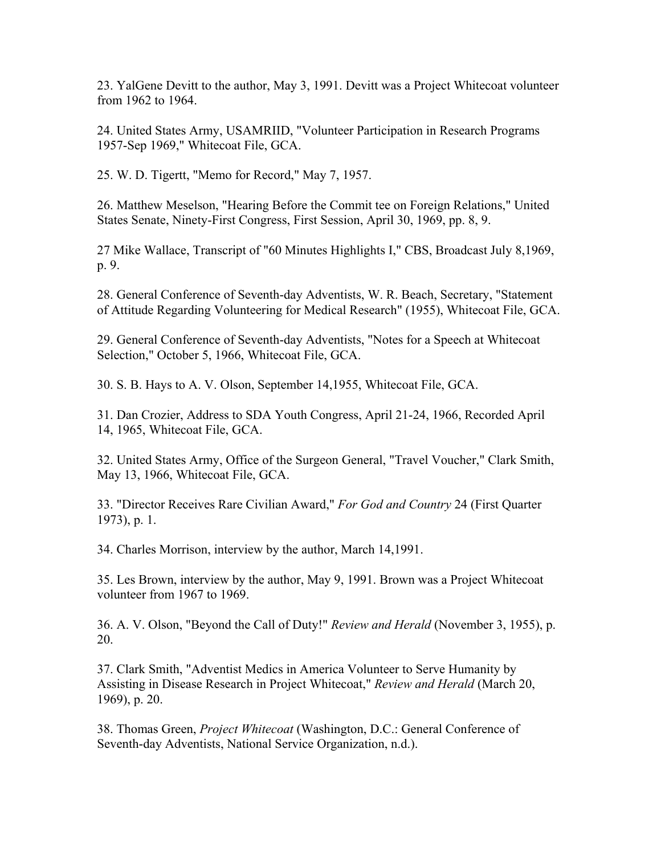23. YalGene Devitt to the author, May 3, 1991. Devitt was a Project Whitecoat volunteer from 1962 to 1964.

24. United States Army, USAMRIID, "Volunteer Participation in Research Programs 1957-Sep 1969," Whitecoat File, GCA.

25. W. D. Tigertt, "Memo for Record," May 7, 1957.

26. Matthew Meselson, "Hearing Before the Commit tee on Foreign Relations," United States Senate, Ninety-First Congress, First Session, April 30, 1969, pp. 8, 9.

27 Mike Wallace, Transcript of "60 Minutes Highlights I," CBS, Broadcast July 8,1969, p. 9.

28. General Conference of Seventh-day Adventists, W. R. Beach, Secretary, "Statement of Attitude Regarding Volunteering for Medical Research" (1955), Whitecoat File, GCA.

29. General Conference of Seventh-day Adventists, "Notes for a Speech at Whitecoat Selection," October 5, 1966, Whitecoat File, GCA.

30. S. B. Hays to A. V. Olson, September 14,1955, Whitecoat File, GCA.

31. Dan Crozier, Address to SDA Youth Congress, April 21-24, 1966, Recorded April 14, 1965, Whitecoat File, GCA.

32. United States Army, Office of the Surgeon General, "Travel Voucher," Clark Smith, May 13, 1966, Whitecoat File, GCA.

33. "Director Receives Rare Civilian Award," *For God and Country* 24 (First Quarter 1973), p. 1.

34. Charles Morrison, interview by the author, March 14,1991.

35. Les Brown, interview by the author, May 9, 1991. Brown was a Project Whitecoat volunteer from 1967 to 1969.

36. A. V. Olson, "Beyond the Call of Duty!" *Review and Herald* (November 3, 1955), p. 20.

37. Clark Smith, "Adventist Medics in America Volunteer to Serve Humanity by Assisting in Disease Research in Project Whitecoat," *Review and Herald* (March 20, 1969), p. 20.

38. Thomas Green, *Project Whitecoat* (Washington, D.C.: General Conference of Seventh-day Adventists, National Service Organization, n.d.).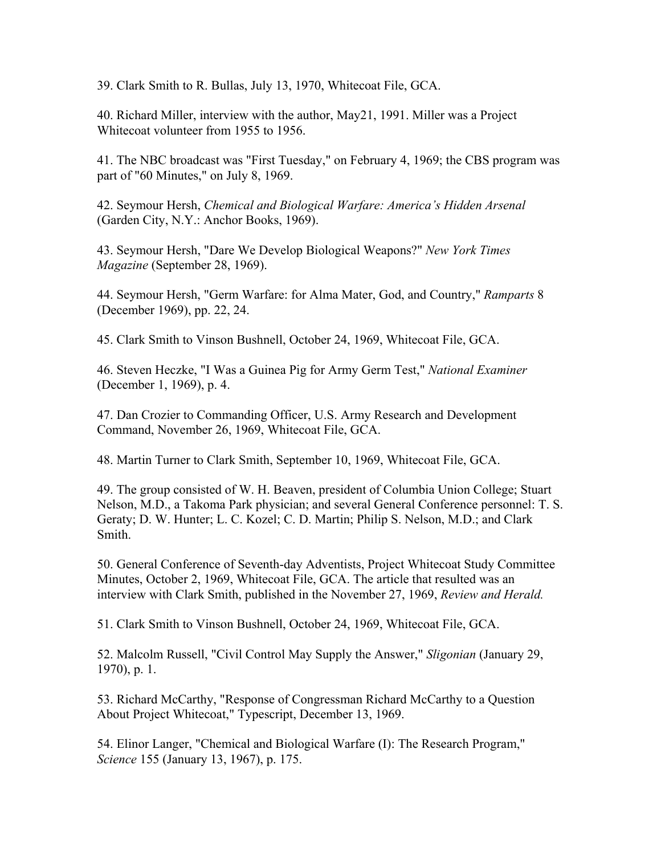39. Clark Smith to R. Bullas, July 13, 1970, Whitecoat File, GCA.

40. Richard Miller, interview with the author, May21, 1991. Miller was a Project Whitecoat volunteer from 1955 to 1956.

41. The NBC broadcast was "First Tuesday," on February 4, 1969; the CBS program was part of "60 Minutes," on July 8, 1969.

42. Seymour Hersh, *Chemical and Biological Warfare: America's Hidden Arsenal* (Garden City, N.Y.: Anchor Books, 1969).

43. Seymour Hersh, "Dare We Develop Biological Weapons?" *New York Times Magazine* (September 28, 1969).

44. Seymour Hersh, "Germ Warfare: for Alma Mater, God, and Country," *Ramparts* 8 (December 1969), pp. 22, 24.

45. Clark Smith to Vinson Bushnell, October 24, 1969, Whitecoat File, GCA.

46. Steven Heczke, "I Was a Guinea Pig for Army Germ Test," *National Examiner* (December 1, 1969), p. 4.

47. Dan Crozier to Commanding Officer, U.S. Army Research and Development Command, November 26, 1969, Whitecoat File, GCA.

48. Martin Turner to Clark Smith, September 10, 1969, Whitecoat File, GCA.

49. The group consisted of W. H. Beaven, president of Columbia Union College; Stuart Nelson, M.D., a Takoma Park physician; and several General Conference personnel: T. S. Geraty; D. W. Hunter; L. C. Kozel; C. D. Martin; Philip S. Nelson, M.D.; and Clark Smith.

50. General Conference of Seventh-day Adventists, Project Whitecoat Study Committee Minutes, October 2, 1969, Whitecoat File, GCA. The article that resulted was an interview with Clark Smith, published in the November 27, 1969, *Review and Herald.*

51. Clark Smith to Vinson Bushnell, October 24, 1969, Whitecoat File, GCA.

52. Malcolm Russell, "Civil Control May Supply the Answer," *Sligonian* (January 29, 1970), p. 1.

53. Richard McCarthy, "Response of Congressman Richard McCarthy to a Question About Project Whitecoat," Typescript, December 13, 1969.

54. Elinor Langer, "Chemical and Biological Warfare (I): The Research Program," *Science* 155 (January 13, 1967), p. 175.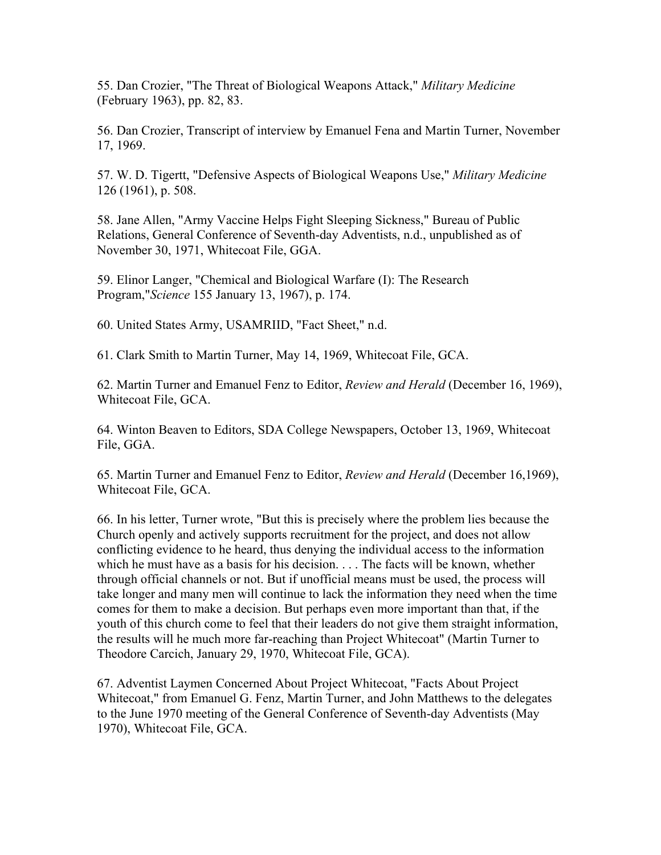55. Dan Crozier, "The Threat of Biological Weapons Attack," *Military Medicine* (February 1963), pp. 82, 83.

56. Dan Crozier, Transcript of interview by Emanuel Fena and Martin Turner, November 17, 1969.

57. W. D. Tigertt, "Defensive Aspects of Biological Weapons Use," *Military Medicine* 126 (1961), p. 508.

58. Jane Allen, "Army Vaccine Helps Fight Sleeping Sickness," Bureau of Public Relations, General Conference of Seventh-day Adventists, n.d., unpublished as of November 30, 1971, Whitecoat File, GGA.

59. Elinor Langer, "Chemical and Biological Warfare (I): The Research Program,"*Science* 155 January 13, 1967), p. 174.

60. United States Army, USAMRIID, "Fact Sheet," n.d.

61. Clark Smith to Martin Turner, May 14, 1969, Whitecoat File, GCA.

62. Martin Turner and Emanuel Fenz to Editor, *Review and Herald* (December 16, 1969), Whitecoat File, GCA.

64. Winton Beaven to Editors, SDA College Newspapers, October 13, 1969, Whitecoat File, GGA.

65. Martin Turner and Emanuel Fenz to Editor, *Review and Herald* (December 16,1969), Whitecoat File, GCA.

66. In his letter, Turner wrote, "But this is precisely where the problem lies because the Church openly and actively supports recruitment for the project, and does not allow conflicting evidence to he heard, thus denying the individual access to the information which he must have as a basis for his decision. . . . The facts will be known, whether through official channels or not. But if unofficial means must be used, the process will take longer and many men will continue to lack the information they need when the time comes for them to make a decision. But perhaps even more important than that, if the youth of this church come to feel that their leaders do not give them straight information, the results will he much more far-reaching than Project Whitecoat" (Martin Turner to Theodore Carcich, January 29, 1970, Whitecoat File, GCA).

67. Adventist Laymen Concerned About Project Whitecoat, "Facts About Project Whitecoat," from Emanuel G. Fenz, Martin Turner, and John Matthews to the delegates to the June 1970 meeting of the General Conference of Seventh-day Adventists (May 1970), Whitecoat File, GCA.